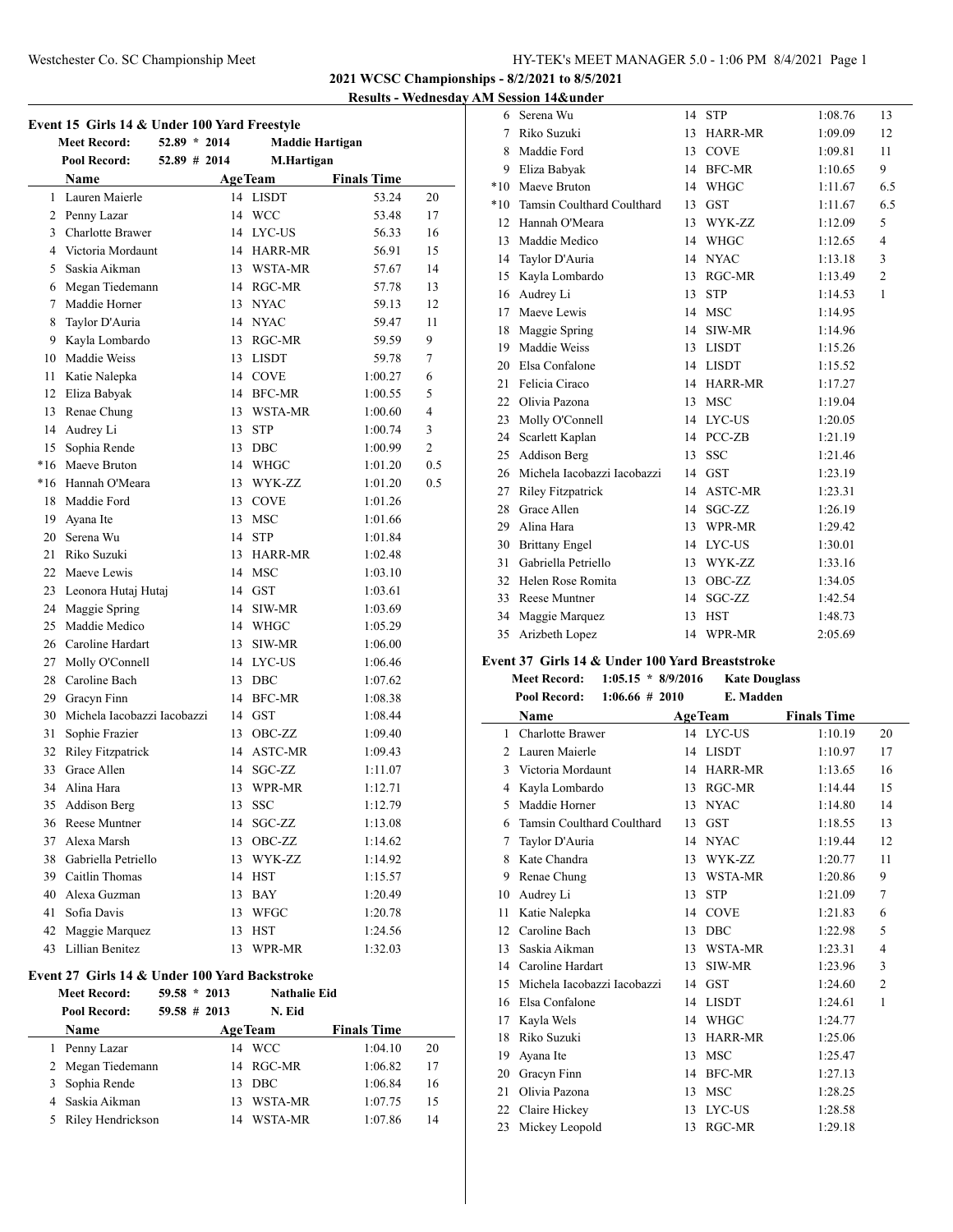## Westchester Co. SC Championship Meet HY-TEK's MEET MANAGER 5.0 - 1:06 PM 8/4/2021 Page 1

**2021 WCSC Championships - 8/2/2021 to 8/5/2021**

**Results - Wednesday AM Session 14&under**

| Event 15 Girls 14 & Under 100 Yard Freestyle |                                               |                  |                     |                        |                |  |
|----------------------------------------------|-----------------------------------------------|------------------|---------------------|------------------------|----------------|--|
|                                              | <b>Meet Record:</b>                           | $52.89 * 2014$   |                     | <b>Maddie Hartigan</b> |                |  |
|                                              | Pool Record:                                  | $52.89$ # 2014   | M.Hartigan          |                        |                |  |
|                                              | Name                                          |                  | <b>AgeTeam</b>      | <b>Finals Time</b>     |                |  |
|                                              | 1 Lauren Maierle                              |                  | 14 LISDT            | 53.24                  | 20             |  |
|                                              | 2 Penny Lazar                                 |                  | 14 WCC              | 53.48                  | 17             |  |
|                                              | 3 Charlotte Brawer                            |                  | 14 LYC-US           | 56.33                  | 16             |  |
|                                              | 4 Victoria Mordaunt                           | 14               | HARR-MR             | 56.91                  | 15             |  |
|                                              | 5 Saskia Aikman                               | 13               | WSTA-MR             | 57.67                  | 14             |  |
|                                              | 6 Megan Tiedemann                             |                  | 14 RGC-MR           | 57.78                  | 13             |  |
|                                              | 7 Maddie Horner                               | 13               | <b>NYAC</b>         | 59.13                  | 12             |  |
| 8                                            | Taylor D'Auria                                |                  | 14 NYAC             | 59.47                  | 11             |  |
|                                              | 9 Kayla Lombardo                              |                  | 13 RGC-MR           | 59.59                  | 9              |  |
|                                              | 10 Maddie Weiss                               |                  | 13 LISDT            | 59.78                  | 7              |  |
| 11                                           | Katie Nalepka                                 |                  | 14 COVE             | 1:00.27                | 6              |  |
|                                              | 12 Eliza Babyak                               |                  | 14 BFC-MR           | 1:00.55                | 5              |  |
| 13                                           | Renae Chung                                   |                  | 13 WSTA-MR          | 1:00.60                | 4              |  |
|                                              | 14 Audrey Li                                  | 13               | <b>STP</b>          | 1:00.74                | 3              |  |
|                                              | 15 Sophia Rende                               | 13               | $\rm DBC$           | 1:00.99                | $\overline{2}$ |  |
|                                              | *16 Maeve Bruton                              | 14               | <b>WHGC</b>         | 1:01.20                | 0.5            |  |
|                                              | *16 Hannah O'Meara                            |                  | 13 WYK-ZZ           | 1:01.20                | 0.5            |  |
|                                              | 18 Maddie Ford                                | 13               | <b>COVE</b>         | 1:01.26                |                |  |
|                                              | 19 Ayana Ite                                  | 13               | <b>MSC</b>          | 1:01.66                |                |  |
|                                              | 20 Serena Wu                                  | 14               | <b>STP</b>          | 1:01.84                |                |  |
| 21                                           | Riko Suzuki                                   |                  | 13 HARR-MR          | 1:02.48                |                |  |
|                                              | 22 Maeve Lewis                                |                  | 14 MSC              | 1:03.10                |                |  |
|                                              | 23 Leonora Hutaj Hutaj                        |                  | 14 GST              | 1:03.61                |                |  |
|                                              | 24 Maggie Spring                              | 14               | SIW-MR              | 1:03.69                |                |  |
| 25                                           | Maddie Medico                                 | 14               | WHGC                | 1:05.29                |                |  |
|                                              | 26 Caroline Hardart                           | 13               | SIW-MR              | 1:06.00                |                |  |
| 27                                           | Molly O'Connell                               |                  | 14 LYC-US           | 1:06.46                |                |  |
|                                              | 28 Caroline Bach                              | 13               | DBC                 | 1:07.62                |                |  |
|                                              | 29 Gracyn Finn                                | 14               | <b>BFC-MR</b>       | 1:08.38                |                |  |
|                                              | 30 Michela Jacobazzi Jacobazzi                | 14               | <b>GST</b>          | 1:08.44                |                |  |
| 31                                           | Sophie Frazier                                | 13               | OBC-ZZ              | 1:09.40                |                |  |
|                                              | 32 Riley Fitzpatrick                          | 14               | <b>ASTC-MR</b>      | 1:09.43                |                |  |
| 33                                           | Grace Allen                                   | 14               | SGC-ZZ              | 1:11.07                |                |  |
|                                              | 34 Alina Hara                                 | 13               | WPR-MR              | 1:12.71                |                |  |
|                                              | 35 Addison Berg                               |                  | 13 SSC              | 1:12.79                |                |  |
|                                              | 36 Reese Muntner                              |                  | 14 SGC-ZZ           | 1:13.08                |                |  |
|                                              | 37 Alexa Marsh                                | 13               | OBC-ZZ              | 1:14.62                |                |  |
|                                              | 38 Gabriella Petriello                        |                  | 13 WYK-ZZ           | 1:14.92                |                |  |
|                                              | 39 Caitlin Thomas                             |                  | 14 HST              | 1:15.57                |                |  |
|                                              | 40 Alexa Guzman                               |                  | 13 BAY              | 1:20.49                |                |  |
|                                              | 41 Sofia Davis                                |                  | 13 WFGC             | 1:20.78                |                |  |
|                                              | 42 Maggie Marquez                             |                  | 13 HST              | 1:24.56                |                |  |
|                                              | 43 Lillian Benitez                            | 13               | WPR-MR              | 1:32.03                |                |  |
|                                              | Event 27 Girls 14 & Under 100 Yard Backstroke |                  |                     |                        |                |  |
|                                              | <b>Meet Record:</b>                           | $59.58 * 2013$   | <b>Nathalie Eid</b> |                        |                |  |
|                                              | Pool Record:                                  | $59.58 \pm 2013$ | N. Eid              |                        |                |  |
|                                              | Name                                          |                  | <b>AgeTeam</b>      | <b>Finals Time</b>     |                |  |
|                                              | 1 Penny Lazar                                 |                  | 14 WCC              | 1:04.10                | 20             |  |
|                                              | 2 Megan Tiedemann                             |                  | 14 RGC-MR           | 1:06.82                | 17             |  |

 Sophia Rende 13 DBC 1:06.84 16 Saskia Aikman 13 WSTA-MR 1:07.75 15 Riley Hendrickson 14 WSTA-MR 1:07.86 14

| 6.              | Serena Wu                      | 14 | <b>STP</b>           | 1:08.76 | 13             |
|-----------------|--------------------------------|----|----------------------|---------|----------------|
| 7               | Riko Suzuki                    | 13 | <b>HARR-MR</b>       | 1:09.09 | 12             |
| 8               | Maddie Ford                    | 13 | <b>COVE</b>          | 1:09.81 | 11             |
| 9               | Eliza Babyak                   |    | 14 BFC-MR            | 1:10.65 | 9              |
| $*10$           | Maeve Bruton                   | 14 | <b>WHGC</b>          | 1:11.67 | 6.5            |
| $*10^{-}$       | Tamsin Coulthard Coulthard     | 13 | <b>GST</b>           | 1:11.67 | 6.5            |
| 12              | Hannah O'Meara                 | 13 | WYK-ZZ               | 1:12.09 | 5              |
|                 | 13 Maddie Medico               |    | 14 WHGC              | 1:12.65 | $\overline{4}$ |
| 14              | Taylor D'Auria                 | 14 | <b>NYAC</b>          | 1:13.18 | 3              |
| 15              | Kayla Lombardo                 | 13 | RGC-MR               | 1:13.49 | $\overline{2}$ |
| 16              | Audrey Li                      | 13 | <b>STP</b>           | 1:14.53 | $\mathbf{1}$   |
| 17              | Maeve Lewis                    |    | 14 MSC               | 1:14.95 |                |
|                 | 18 Maggie Spring               | 14 | SIW-MR               | 1:14.96 |                |
| 19              | Maddie Weiss                   | 13 | <b>LISDT</b>         | 1:15.26 |                |
|                 | 20 Elsa Confalone              |    | 14 LISDT             | 1:15.52 |                |
| 21              | Felicia Ciraco                 |    | 14 HARR-MR           | 1:17.27 |                |
|                 | 22 Olivia Pazona               |    | 13 MSC               | 1:19.04 |                |
| 23              | Molly O'Connell                | 14 | LYC-US               | 1:20.05 |                |
| 24              | Scarlett Kaplan                |    | 14 PCC-ZB            | 1:21.19 |                |
| 25              | Addison Berg                   | 13 | <b>SSC</b>           | 1:21.46 |                |
|                 | 26 Michela Jacobazzi Jacobazzi | 14 | <b>GST</b>           | 1:23.19 |                |
| 27              | <b>Riley Fitzpatrick</b>       | 14 | ASTC-MR              | 1:23.31 |                |
| 28              | Grace Allen                    | 14 | SGC-ZZ               | 1:26.19 |                |
|                 | 29 Alina Hara                  |    | 13 WPR-MR            | 1:29.42 |                |
| 30              | <b>Brittany Engel</b>          | 14 | LYC-US               | 1:30.01 |                |
| 31              | Gabriella Petriello            | 13 | WYK-ZZ               | 1:33.16 |                |
| 32 <sup>2</sup> | Helen Rose Romita              | 13 | OBC-ZZ               | 1:34.05 |                |
|                 | 33 Reese Muntner               | 14 | SGC-ZZ               | 1:42.54 |                |
| 34              | Maggie Marquez                 | 13 | <b>HST</b>           | 1:48.73 |                |
| 35              | Arizbeth Lopez                 | 14 | WPR-MR               | 2:05.69 |                |
|                 | $1.27 \times 1.101$            |    | $\sim$ $\sim$ $\sim$ |         |                |

## **Event 37 Girls 14 & Under 100 Yard Breaststroke**

**Meet Record: 1:05.15 \* 8/9/2016 Kate Douglass Pool Record: 1:06.66 # 2010 E. Madden**

|    | POOL Record:<br>$1:00.00 \# 2010$ |    | в. массеп      |                    |                |
|----|-----------------------------------|----|----------------|--------------------|----------------|
|    | Name                              |    | <b>AgeTeam</b> | <b>Finals Time</b> |                |
| 1  | Charlotte Brawer                  |    | 14 LYC-US      | 1:10.19            | 20             |
| 2  | Lauren Maierle                    |    | 14 LISDT       | 1:10.97            | 17             |
| 3  | Victoria Mordaunt                 | 14 | <b>HARR-MR</b> | 1:13.65            | 16             |
| 4  | Kayla Lombardo                    | 13 | RGC-MR         | 1:14.44            | 15             |
| 5  | Maddie Horner                     | 13 | <b>NYAC</b>    | 1:14.80            | 14             |
| 6  | Tamsin Coulthard Coulthard        | 13 | <b>GST</b>     | 1:18.55            | 13             |
| 7  | Taylor D'Auria                    | 14 | <b>NYAC</b>    | 1:19.44            | 12             |
| 8  | Kate Chandra                      | 13 | WYK-ZZ         | 1:20.77            | 11             |
| 9  | Renae Chung                       | 13 | WSTA-MR        | 1:20.86            | 9              |
| 10 | Audrey Li                         | 13 | <b>STP</b>     | 1:21.09            | 7              |
| 11 | Katie Nalepka                     |    | 14 COVE        | 1:21.83            | 6              |
| 12 | Caroline Bach                     | 13 | <b>DBC</b>     | 1:22.98            | 5              |
| 13 | Saskia Aikman                     | 13 | WSTA-MR        | 1:23.31            | $\overline{4}$ |
| 14 | Caroline Hardart                  | 13 | SIW-MR         | 1:23.96            | 3              |
| 15 | Michela Jacobazzi Jacobazzi       | 14 | <b>GST</b>     | 1:24.60            | $\overline{2}$ |
| 16 | Elsa Confalone                    | 14 | <b>LISDT</b>   | 1:24.61            | 1              |
| 17 | Kayla Wels                        | 14 | <b>WHGC</b>    | 1:24.77            |                |
| 18 | Riko Suzuki                       | 13 | <b>HARR-MR</b> | 1:25.06            |                |
| 19 | Ayana Ite                         | 13 | <b>MSC</b>     | 1:25.47            |                |
| 20 | Gracyn Finn                       | 14 | <b>BFC-MR</b>  | 1:27.13            |                |
| 21 | Olivia Pazona                     | 13 | <b>MSC</b>     | 1:28.25            |                |
| 22 | Claire Hickey                     | 13 | LYC-US         | 1:28.58            |                |
| 23 | Mickey Leopold                    | 13 | RGC-MR         | 1:29.18            |                |